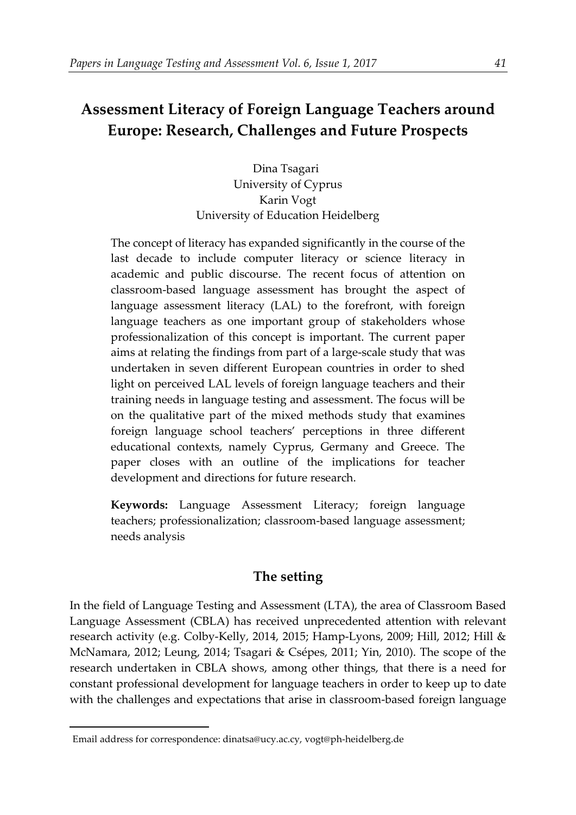# **Assessment Literacy of Foreign Language Teachers around Europe: Research, Challenges and Future Prospects**

Dina Tsagari University of Cyprus Karin Vogt University of Education Heidelberg

The concept of literacy has expanded significantly in the course of the last decade to include computer literacy or science literacy in academic and public discourse. The recent focus of attention on classroom-based language assessment has brought the aspect of language assessment literacy (LAL) to the forefront, with foreign language teachers as one important group of stakeholders whose professionalization of this concept is important. The current paper aims at relating the findings from part of a large-scale study that was undertaken in seven different European countries in order to shed light on perceived LAL levels of foreign language teachers and their training needs in language testing and assessment. The focus will be on the qualitative part of the mixed methods study that examines foreign language school teachers' perceptions in three different educational contexts, namely Cyprus, Germany and Greece. The paper closes with an outline of the implications for teacher development and directions for future research.

**Keywords:** Language Assessment Literacy; foreign language teachers; professionalization; classroom-based language assessment; needs analysis

## **The setting**

In the field of Language Testing and Assessment (LTA), the area of Classroom Based Language Assessment (CBLA) has received unprecedented attention with relevant research activity (e.g. Colby-Kelly, 2014, 2015; Hamp-Lyons, 2009; Hill, 2012; Hill & McNamara, 2012; Leung, 2014; Tsagari & Csépes, 2011; Yin, 2010). The scope of the research undertaken in CBLA shows, among other things, that there is a need for constant professional development for language teachers in order to keep up to date with the challenges and expectations that arise in classroom-based foreign language

<span id="page-0-0"></span>**.** 

<sup>1</sup>Email address for correspondence: dinatsa@ucy.ac.cy, vogt@ph-heidelberg.de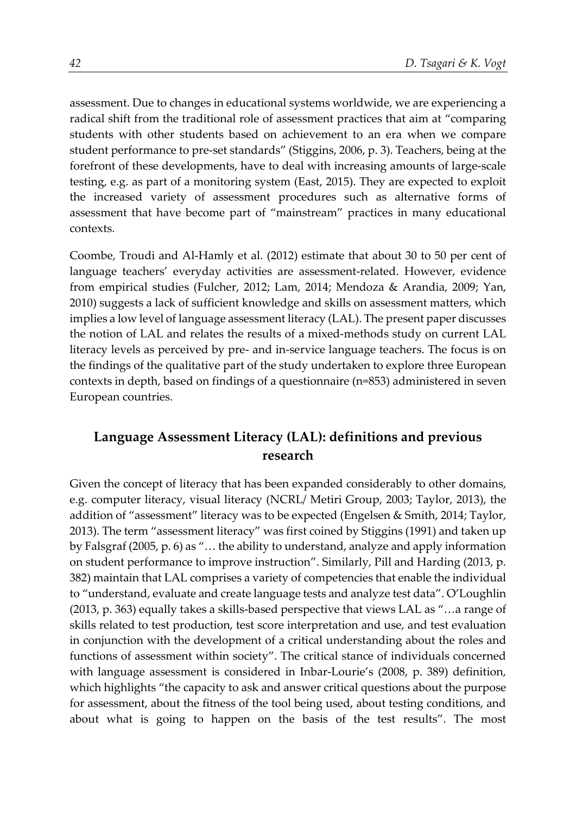assessment. Due to changes in educational systems worldwide, we are experiencing a radical shift from the traditional role of assessment practices that aim at "comparing students with other students based on achievement to an era when we compare student performance to pre-set standards" (Stiggins, 2006, p. 3). Teachers, being at the forefront of these developments, have to deal with increasing amounts of large-scale testing, e.g. as part of a monitoring system (East, 2015). They are expected to exploit the increased variety of assessment procedures such as alternative forms of assessment that have become part of "mainstream" practices in many educational contexts.

Coombe, Troudi and Al-Hamly et al. (2012) estimate that about 30 to 50 per cent of language teachers' everyday activities are assessment-related. However, evidence from empirical studies (Fulcher, 2012; Lam, 2014; Mendoza & Arandia, 2009; Yan, 2010) suggests a lack of sufficient knowledge and skills on assessment matters, which implies a low level of language assessment literacy (LAL). The present paper discusses the notion of LAL and relates the results of a mixed-methods study on current LAL literacy levels as perceived by pre- and in-service language teachers. The focus is on the findings of the qualitative part of the study undertaken to explore three European contexts in depth, based on findings of a questionnaire (n=853) administered in seven European countries.

## **Language Assessment Literacy (LAL): definitions and previous research**

Given the concept of literacy that has been expanded considerably to other domains, e.g. computer literacy, visual literacy (NCRL/ Metiri Group, 2003; Taylor, 2013), the addition of "assessment" literacy was to be expected (Engelsen & Smith, 2014; Taylor, 2013). The term "assessment literacy" was first coined by Stiggins (1991) and taken up by Falsgraf (2005, p. 6) as "… the ability to understand, analyze and apply information on student performance to improve instruction". Similarly, Pill and Harding (2013, p. 382) maintain that LAL comprises a variety of competencies that enable the individual to "understand, evaluate and create language tests and analyze test data". O'Loughlin (2013, p. 363) equally takes a skills-based perspective that views LAL as "…a range of skills related to test production, test score interpretation and use, and test evaluation in conjunction with the development of a critical understanding about the roles and functions of assessment within society". The critical stance of individuals concerned with language assessment is considered in Inbar-Lourie's (2008, p. 389) definition, which highlights "the capacity to ask and answer critical questions about the purpose for assessment, about the fitness of the tool being used, about testing conditions, and about what is going to happen on the basis of the test results". The most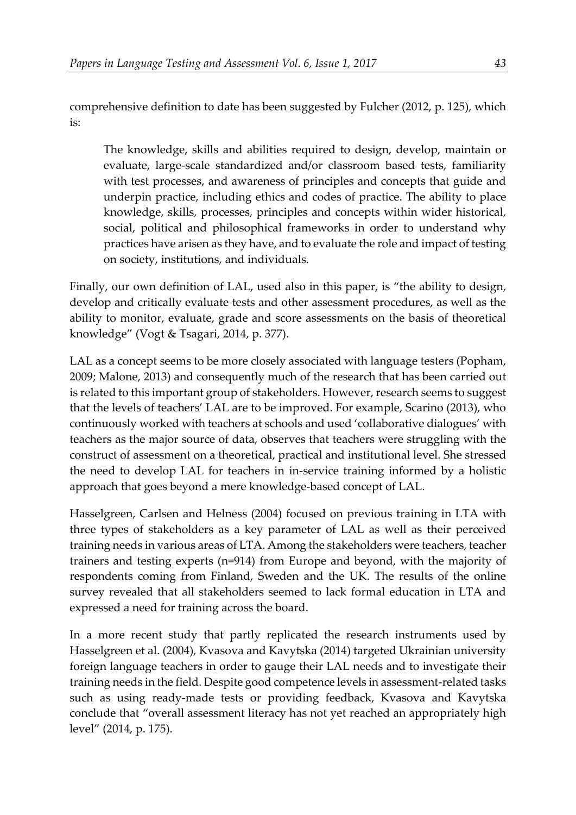comprehensive definition to date has been suggested by Fulcher (2012, p. 125), which is:

The knowledge, skills and abilities required to design, develop, maintain or evaluate, large-scale standardized and/or classroom based tests, familiarity with test processes, and awareness of principles and concepts that guide and underpin practice, including ethics and codes of practice. The ability to place knowledge, skills, processes, principles and concepts within wider historical, social, political and philosophical frameworks in order to understand why practices have arisen as they have, and to evaluate the role and impact of testing on society, institutions, and individuals.

Finally, our own definition of LAL, used also in this paper, is "the ability to design, develop and critically evaluate tests and other assessment procedures, as well as the ability to monitor, evaluate, grade and score assessments on the basis of theoretical knowledge" (Vogt & Tsagari, 2014, p. 377).

LAL as a concept seems to be more closely associated with language testers (Popham, 2009; Malone, 2013) and consequently much of the research that has been carried out is related to this important group of stakeholders. However, research seems to suggest that the levels of teachers' LAL are to be improved. For example, Scarino (2013), who continuously worked with teachers at schools and used 'collaborative dialogues' with teachers as the major source of data, observes that teachers were struggling with the construct of assessment on a theoretical, practical and institutional level. She stressed the need to develop LAL for teachers in in-service training informed by a holistic approach that goes beyond a mere knowledge-based concept of LAL.

Hasselgreen, Carlsen and Helness (2004) focused on previous training in LTA with three types of stakeholders as a key parameter of LAL as well as their perceived training needs in various areas of LTA. Among the stakeholders were teachers, teacher trainers and testing experts (n=914) from Europe and beyond, with the majority of respondents coming from Finland, Sweden and the UK. The results of the online survey revealed that all stakeholders seemed to lack formal education in LTA and expressed a need for training across the board.

In a more recent study that partly replicated the research instruments used by Hasselgreen et al. (2004), Kvasova and Kavytska (2014) targeted Ukrainian university foreign language teachers in order to gauge their LAL needs and to investigate their training needs in the field. Despite good competence levels in assessment-related tasks such as using ready-made tests or providing feedback, Kvasova and Kavytska conclude that "overall assessment literacy has not yet reached an appropriately high level" (2014, p. 175).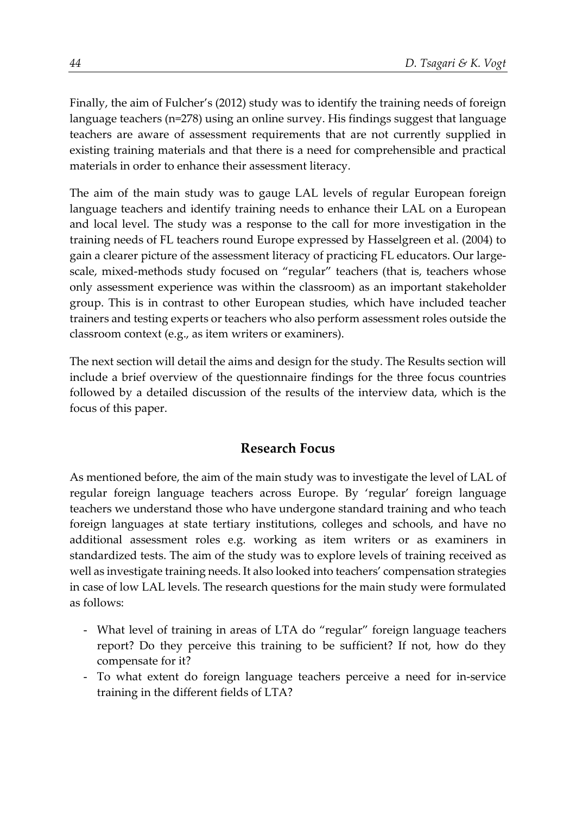Finally, the aim of Fulcher's (2012) study was to identify the training needs of foreign language teachers (n=278) using an online survey. His findings suggest that language teachers are aware of assessment requirements that are not currently supplied in existing training materials and that there is a need for comprehensible and practical materials in order to enhance their assessment literacy.

The aim of the main study was to gauge LAL levels of regular European foreign language teachers and identify training needs to enhance their LAL on a European and local level. The study was a response to the call for more investigation in the training needs of FL teachers round Europe expressed by Hasselgreen et al. (2004) to gain a clearer picture of the assessment literacy of practicing FL educators. Our largescale, mixed-methods study focused on "regular" teachers (that is, teachers whose only assessment experience was within the classroom) as an important stakeholder group. This is in contrast to other European studies, which have included teacher trainers and testing experts or teachers who also perform assessment roles outside the classroom context (e.g., as item writers or examiners).

The next section will detail the aims and design for the study. The Results section will include a brief overview of the questionnaire findings for the three focus countries followed by a detailed discussion of the results of the interview data, which is the focus of this paper.

## **Research Focus**

As mentioned before, the aim of the main study was to investigate the level of LAL of regular foreign language teachers across Europe. By 'regular' foreign language teachers we understand those who have undergone standard training and who teach foreign languages at state tertiary institutions, colleges and schools, and have no additional assessment roles e.g. working as item writers or as examiners in standardized tests. The aim of the study was to explore levels of training received as well as investigate training needs. It also looked into teachers' compensation strategies in case of low LAL levels. The research questions for the main study were formulated as follows:

- What level of training in areas of LTA do "regular" foreign language teachers report? Do they perceive this training to be sufficient? If not, how do they compensate for it?
- To what extent do foreign language teachers perceive a need for in-service training in the different fields of LTA?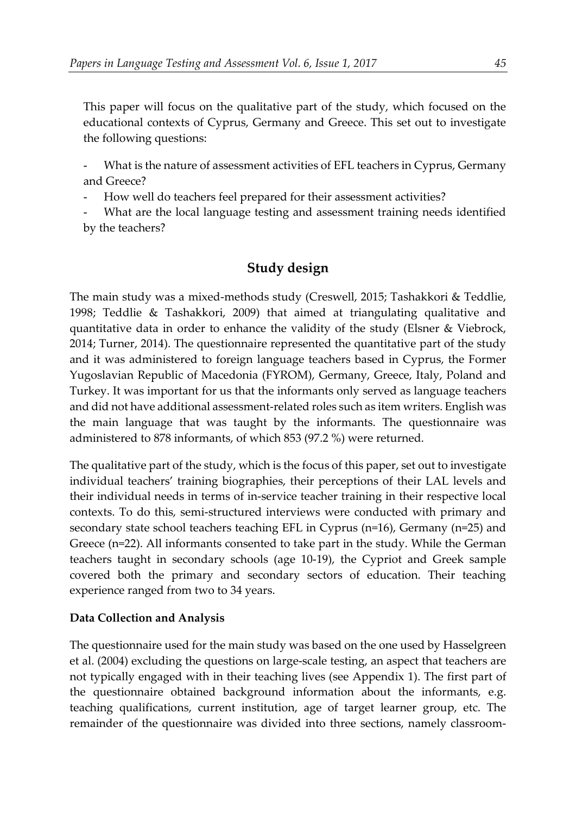This paper will focus on the qualitative part of the study, which focused on the educational contexts of Cyprus, Germany and Greece. This set out to investigate the following questions:

What is the nature of assessment activities of EFL teachers in Cyprus, Germany and Greece?

How well do teachers feel prepared for their assessment activities?

What are the local language testing and assessment training needs identified by the teachers?

## **Study design**

The main study was a mixed-methods study (Creswell, 2015; Tashakkori & Teddlie, 1998; Teddlie & Tashakkori, 2009) that aimed at triangulating qualitative and quantitative data in order to enhance the validity of the study (Elsner & Viebrock, 2014; Turner, 2014). The questionnaire represented the quantitative part of the study and it was administered to foreign language teachers based in Cyprus, the Former Yugoslavian Republic of Macedonia (FYROM), Germany, Greece, Italy, Poland and Turkey. It was important for us that the informants only served as language teachers and did not have additional assessment-related roles such as item writers. English was the main language that was taught by the informants. The questionnaire was administered to 878 informants, of which 853 (97.2 %) were returned.

The qualitative part of the study, which is the focus of this paper, set out to investigate individual teachers' training biographies, their perceptions of their LAL levels and their individual needs in terms of in-service teacher training in their respective local contexts. To do this, semi-structured interviews were conducted with primary and secondary state school teachers teaching EFL in Cyprus (n=16), Germany (n=25) and Greece (n=22). All informants consented to take part in the study. While the German teachers taught in secondary schools (age 10-19), the Cypriot and Greek sample covered both the primary and secondary sectors of education. Their teaching experience ranged from two to 34 years.

#### **Data Collection and Analysis**

The questionnaire used for the main study was based on the one used by Hasselgreen et al. (2004) excluding the questions on large-scale testing, an aspect that teachers are not typically engaged with in their teaching lives (see Appendix 1). The first part of the questionnaire obtained background information about the informants, e.g. teaching qualifications, current institution, age of target learner group, etc. The remainder of the questionnaire was divided into three sections, namely classroom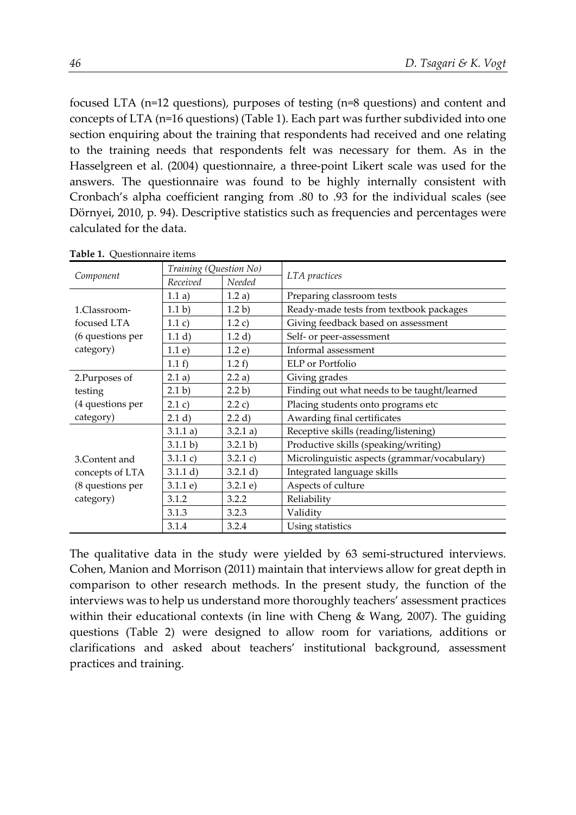focused LTA (n=12 questions), purposes of testing (n=8 questions) and content and concepts of LTA (n=16 questions) (Table 1). Each part was further subdivided into one section enquiring about the training that respondents had received and one relating to the training needs that respondents felt was necessary for them. As in the Hasselgreen et al. (2004) questionnaire, a three-point Likert scale was used for the answers. The questionnaire was found to be highly internally consistent with Cronbach's alpha coefficient ranging from .80 to .93 for the individual scales (see Dörnyei, 2010, p. 94). Descriptive statistics such as frequencies and percentages were calculated for the data.

|                  | Training (Question No) |          |                                              |  |  |
|------------------|------------------------|----------|----------------------------------------------|--|--|
| Component        | Received               | Needed   | LTA practices                                |  |  |
|                  | 1.1 a)                 | 1.2a)    | Preparing classroom tests                    |  |  |
| 1.Classroom-     | 1.1 <sub>b</sub>       | 1.2 b)   | Ready-made tests from textbook packages      |  |  |
| focused LTA      | 1.1 c)                 | 1.2 c)   | Giving feedback based on assessment          |  |  |
| (6 questions per | 1.1 d)                 | 1.2 d)   | Self- or peer-assessment                     |  |  |
| category)        | 1.1 e)                 | 1.2 e)   | Informal assessment                          |  |  |
|                  | 1.1 f                  | 1.2 f    | ELP or Portfolio                             |  |  |
| 2.Purposes of    | 2.1 a)                 | 2.2 a)   | Giving grades                                |  |  |
| testing          | 2.1 b)                 | 2.2 b)   | Finding out what needs to be taught/learned  |  |  |
| (4 questions per | 2.1 c)                 | 2.2 c)   | Placing students onto programs etc           |  |  |
| category)        | 2.1 d)                 | 2.2 d)   | Awarding final certificates                  |  |  |
|                  | 3.1.1 a)               | 3.2.1 a) | Receptive skills (reading/listening)         |  |  |
|                  | 3.1.1 b)               | 3.2.1 b) | Productive skills (speaking/writing)         |  |  |
| 3. Content and   | 3.1.1 c)               | 3.2.1 c) | Microlinguistic aspects (grammar/vocabulary) |  |  |
| concepts of LTA  | 3.1.1 d)               | 3.2.1 d) | Integrated language skills                   |  |  |
| (8 questions per | 3.1.1 e                | 3.2.1 e  | Aspects of culture                           |  |  |
| category)        | 3.1.2                  | 3.2.2    | Reliability                                  |  |  |
|                  | 3.1.3                  | 3.2.3    | Validity                                     |  |  |
|                  | 3.1.4                  | 3.2.4    | Using statistics                             |  |  |

**Table 1.** Questionnaire items

The qualitative data in the study were yielded by 63 semi-structured interviews. Cohen, Manion and Morrison (2011) maintain that interviews allow for great depth in comparison to other research methods. In the present study, the function of the interviews was to help us understand more thoroughly teachers' assessment practices within their educational contexts (in line with Cheng & Wang, 2007). The guiding questions (Table 2) were designed to allow room for variations, additions or clarifications and asked about teachers' institutional background, assessment practices and training.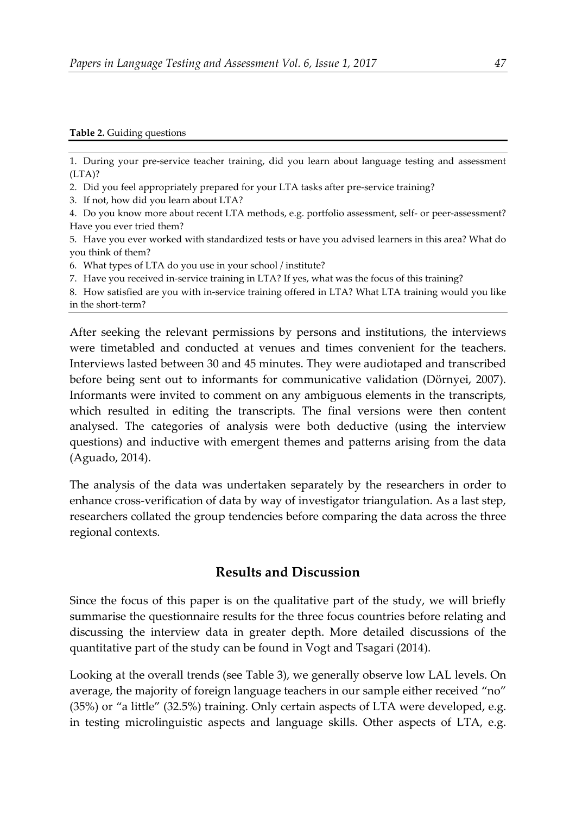#### **Table 2.** Guiding questions

1. During your pre-service teacher training, did you learn about language testing and assessment  $(LTA)$ ?

- 2. Did you feel appropriately prepared for your LTA tasks after pre-service training?
- 3. If not, how did you learn about LTA?

4. Do you know more about recent LTA methods, e.g. portfolio assessment, self- or peer-assessment? Have you ever tried them?

5. Have you ever worked with standardized tests or have you advised learners in this area? What do you think of them?

- 6. What types of LTA do you use in your school / institute?
- 7. Have you received in-service training in LTA? If yes, what was the focus of this training?

8. How satisfied are you with in-service training offered in LTA? What LTA training would you like in the short-term?

After seeking the relevant permissions by persons and institutions, the interviews were timetabled and conducted at venues and times convenient for the teachers. Interviews lasted between 30 and 45 minutes. They were audiotaped and transcribed before being sent out to informants for communicative validation (Dörnyei, 2007). Informants were invited to comment on any ambiguous elements in the transcripts, which resulted in editing the transcripts. The final versions were then content analysed. The categories of analysis were both deductive (using the interview questions) and inductive with emergent themes and patterns arising from the data (Aguado, 2014).

The analysis of the data was undertaken separately by the researchers in order to enhance cross-verification of data by way of investigator triangulation. As a last step, researchers collated the group tendencies before comparing the data across the three regional contexts.

#### **Results and Discussion**

Since the focus of this paper is on the qualitative part of the study, we will briefly summarise the questionnaire results for the three focus countries before relating and discussing the interview data in greater depth. More detailed discussions of the quantitative part of the study can be found in Vogt and Tsagari (2014).

Looking at the overall trends (see Table 3), we generally observe low LAL levels. On average, the majority of foreign language teachers in our sample either received "no" (35%) or "a little" (32.5%) training. Only certain aspects of LTA were developed, e.g. in testing microlinguistic aspects and language skills. Other aspects of LTA, e.g.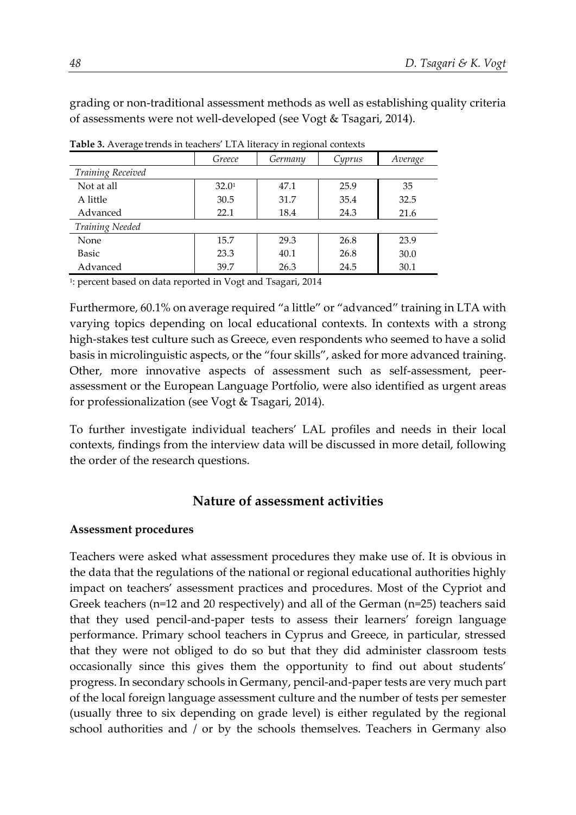grading or non-traditional assessment methods as well as establishing quality criteria of assessments were not well-developed (see Vogt & Tsagari, 2014).

| <b>Table 9.</b> Trychage tichus in teachers ETTY increasy in regional contexts |                   |         |        |         |  |
|--------------------------------------------------------------------------------|-------------------|---------|--------|---------|--|
|                                                                                | Greece            | Germany | Cyprus | Average |  |
| <b>Training Received</b>                                                       |                   |         |        |         |  |
| Not at all                                                                     | 32.0 <sup>1</sup> | 47.1    | 25.9   | 35      |  |
| A little                                                                       | 30.5              | 31.7    | 35.4   | 32.5    |  |
| Advanced                                                                       | 22.1              | 18.4    | 24.3   | 21.6    |  |
| <b>Training Needed</b>                                                         |                   |         |        |         |  |
| None                                                                           | 15.7              | 29.3    | 26.8   | 23.9    |  |
| Basic                                                                          | 23.3              | 40.1    | 26.8   | 30.0    |  |
| Advanced                                                                       | 39.7              | 26.3    | 24.5   | 30.1    |  |

**Table 3.** Average trends in teachers' LTA literacy in regional contexts

1: percent based on data reported in Vogt and Tsagari, 2014

Furthermore, 60.1% on average required "a little" or "advanced" training in LTA with varying topics depending on local educational contexts. In contexts with a strong high-stakes test culture such as Greece, even respondents who seemed to have a solid basis in microlinguistic aspects, or the "four skills", asked for more advanced training. Other, more innovative aspects of assessment such as self-assessment, peerassessment or the European Language Portfolio, were also identified as urgent areas for professionalization (see Vogt & Tsagari, 2014).

To further investigate individual teachers' LAL profiles and needs in their local contexts, findings from the interview data will be discussed in more detail, following the order of the research questions.

## **Nature of assessment activities**

#### **Assessment procedures**

Teachers were asked what assessment procedures they make use of. It is obvious in the data that the regulations of the national or regional educational authorities highly impact on teachers' assessment practices and procedures. Most of the Cypriot and Greek teachers (n=12 and 20 respectively) and all of the German (n=25) teachers said that they used pencil-and-paper tests to assess their learners' foreign language performance. Primary school teachers in Cyprus and Greece, in particular, stressed that they were not obliged to do so but that they did administer classroom tests occasionally since this gives them the opportunity to find out about students' progress. In secondary schools in Germany, pencil-and-paper tests are very much part of the local foreign language assessment culture and the number of tests per semester (usually three to six depending on grade level) is either regulated by the regional school authorities and / or by the schools themselves. Teachers in Germany also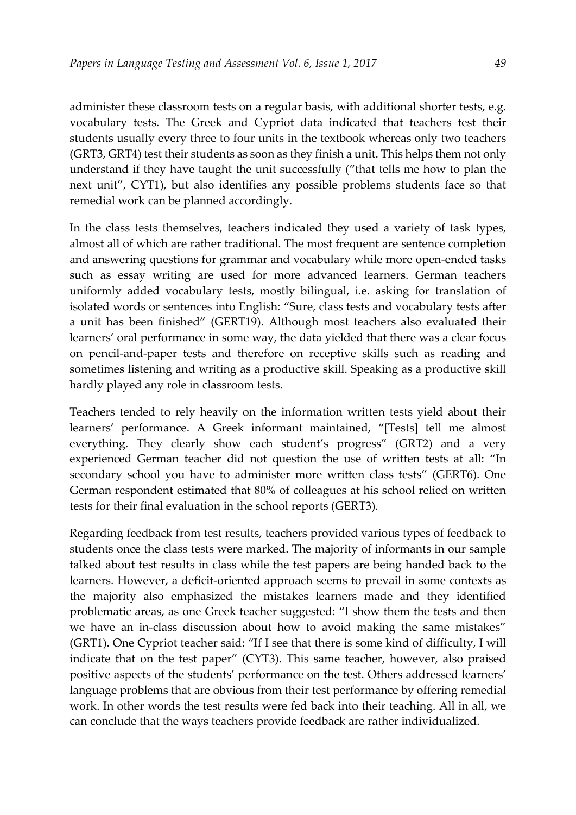administer these classroom tests on a regular basis, with additional shorter tests, e.g. vocabulary tests. The Greek and Cypriot data indicated that teachers test their students usually every three to four units in the textbook whereas only two teachers (GRT3, GRT4) test their students as soon as they finish a unit. This helps them not only understand if they have taught the unit successfully ("that tells me how to plan the next unit", CYT1), but also identifies any possible problems students face so that remedial work can be planned accordingly.

In the class tests themselves, teachers indicated they used a variety of task types, almost all of which are rather traditional. The most frequent are sentence completion and answering questions for grammar and vocabulary while more open-ended tasks such as essay writing are used for more advanced learners. German teachers uniformly added vocabulary tests, mostly bilingual, i.e. asking for translation of isolated words or sentences into English: "Sure, class tests and vocabulary tests after a unit has been finished" (GERT19). Although most teachers also evaluated their learners' oral performance in some way, the data yielded that there was a clear focus on pencil-and-paper tests and therefore on receptive skills such as reading and sometimes listening and writing as a productive skill. Speaking as a productive skill hardly played any role in classroom tests.

Teachers tended to rely heavily on the information written tests yield about their learners' performance. A Greek informant maintained, "[Tests] tell me almost everything. They clearly show each student's progress" (GRT2) and a very experienced German teacher did not question the use of written tests at all: "In secondary school you have to administer more written class tests" (GERT6). One German respondent estimated that 80% of colleagues at his school relied on written tests for their final evaluation in the school reports (GERT3).

Regarding feedback from test results, teachers provided various types of feedback to students once the class tests were marked. The majority of informants in our sample talked about test results in class while the test papers are being handed back to the learners. However, a deficit-oriented approach seems to prevail in some contexts as the majority also emphasized the mistakes learners made and they identified problematic areas, as one Greek teacher suggested: "I show them the tests and then we have an in-class discussion about how to avoid making the same mistakes" (GRT1). One Cypriot teacher said: "If I see that there is some kind of difficulty, I will indicate that on the test paper" (CYT3). This same teacher, however, also praised positive aspects of the students' performance on the test. Others addressed learners' language problems that are obvious from their test performance by offering remedial work. In other words the test results were fed back into their teaching. All in all, we can conclude that the ways teachers provide feedback are rather individualized.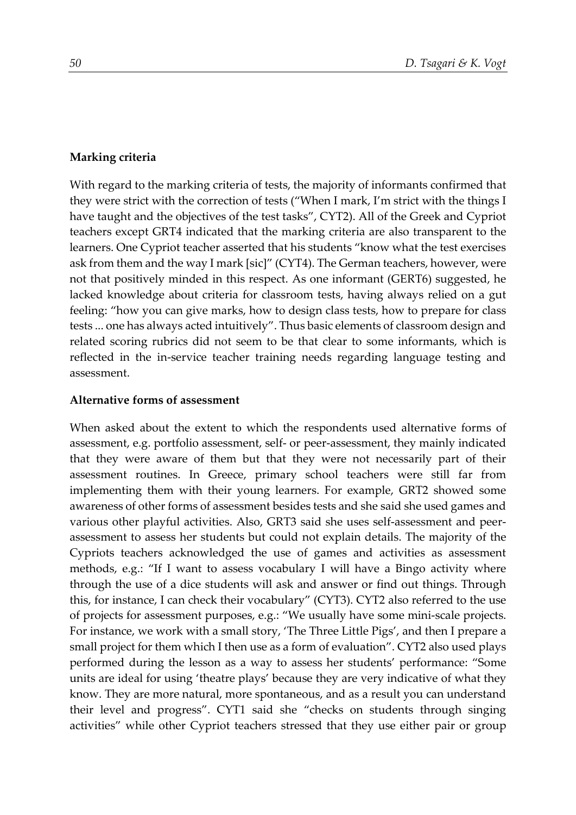#### **Marking criteria**

With regard to the marking criteria of tests, the majority of informants confirmed that they were strict with the correction of tests ("When I mark, I'm strict with the things I have taught and the objectives of the test tasks", CYT2). All of the Greek and Cypriot teachers except GRT4 indicated that the marking criteria are also transparent to the learners. One Cypriot teacher asserted that his students "know what the test exercises ask from them and the way I mark [sic]" (CYT4). The German teachers, however, were not that positively minded in this respect. As one informant (GERT6) suggested, he lacked knowledge about criteria for classroom tests, having always relied on a gut feeling: "how you can give marks, how to design class tests, how to prepare for class tests ... one has always acted intuitively". Thus basic elements of classroom design and related scoring rubrics did not seem to be that clear to some informants, which is reflected in the in-service teacher training needs regarding language testing and assessment.

#### **Alternative forms of assessment**

When asked about the extent to which the respondents used alternative forms of assessment, e.g. portfolio assessment, self- or peer-assessment, they mainly indicated that they were aware of them but that they were not necessarily part of their assessment routines. In Greece, primary school teachers were still far from implementing them with their young learners. For example, GRT2 showed some awareness of other forms of assessment besides tests and she said she used games and various other playful activities. Also, GRT3 said she uses self-assessment and peerassessment to assess her students but could not explain details. The majority of the Cypriots teachers acknowledged the use of games and activities as assessment methods, e.g.: "If I want to assess vocabulary I will have a Bingo activity where through the use of a dice students will ask and answer or find out things. Through this, for instance, I can check their vocabulary" (CYT3). CYT2 also referred to the use of projects for assessment purposes, e.g.: "We usually have some mini-scale projects. For instance, we work with a small story, 'The Three Little Pigs', and then I prepare a small project for them which I then use as a form of evaluation". CYT2 also used plays performed during the lesson as a way to assess her students' performance: "Some units are ideal for using 'theatre plays' because they are very indicative of what they know. They are more natural, more spontaneous, and as a result you can understand their level and progress". CYT1 said she "checks on students through singing activities" while other Cypriot teachers stressed that they use either pair or group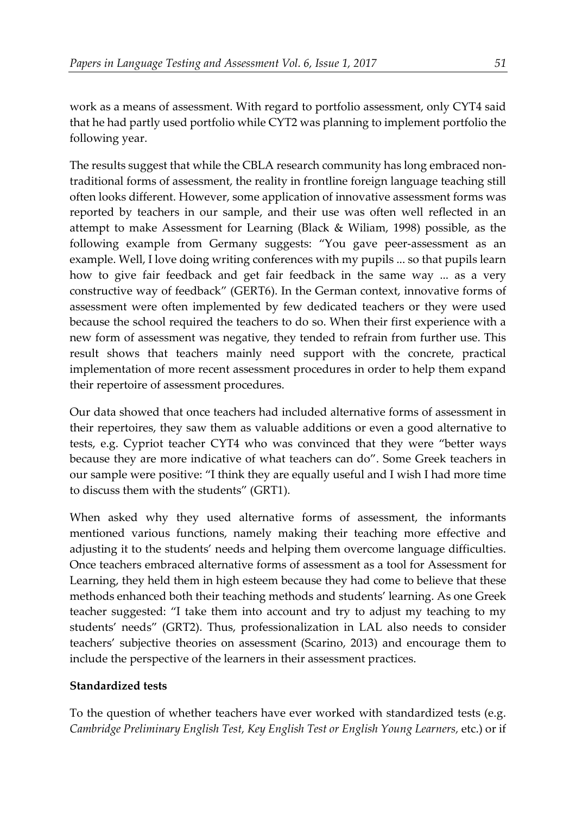work as a means of assessment. With regard to portfolio assessment, only CYT4 said that he had partly used portfolio while CYT2 was planning to implement portfolio the following year.

The results suggest that while the CBLA research community has long embraced nontraditional forms of assessment, the reality in frontline foreign language teaching still often looks different. However, some application of innovative assessment forms was reported by teachers in our sample, and their use was often well reflected in an attempt to make Assessment for Learning (Black & Wiliam, 1998) possible, as the following example from Germany suggests: "You gave peer-assessment as an example. Well, I love doing writing conferences with my pupils ... so that pupils learn how to give fair feedback and get fair feedback in the same way ... as a very constructive way of feedback" (GERT6). In the German context, innovative forms of assessment were often implemented by few dedicated teachers or they were used because the school required the teachers to do so. When their first experience with a new form of assessment was negative, they tended to refrain from further use. This result shows that teachers mainly need support with the concrete, practical implementation of more recent assessment procedures in order to help them expand their repertoire of assessment procedures.

Our data showed that once teachers had included alternative forms of assessment in their repertoires, they saw them as valuable additions or even a good alternative to tests, e.g. Cypriot teacher CYT4 who was convinced that they were "better ways because they are more indicative of what teachers can do". Some Greek teachers in our sample were positive: "I think they are equally useful and I wish I had more time to discuss them with the students" (GRT1).

When asked why they used alternative forms of assessment, the informants mentioned various functions, namely making their teaching more effective and adjusting it to the students' needs and helping them overcome language difficulties. Once teachers embraced alternative forms of assessment as a tool for Assessment for Learning, they held them in high esteem because they had come to believe that these methods enhanced both their teaching methods and students' learning. As one Greek teacher suggested: "I take them into account and try to adjust my teaching to my students' needs" (GRT2). Thus, professionalization in LAL also needs to consider teachers' subjective theories on assessment (Scarino, 2013) and encourage them to include the perspective of the learners in their assessment practices.

#### **Standardized tests**

To the question of whether teachers have ever worked with standardized tests (e.g. *Cambridge Preliminary English Test, Key English Test or English Young Learners,* etc.) or if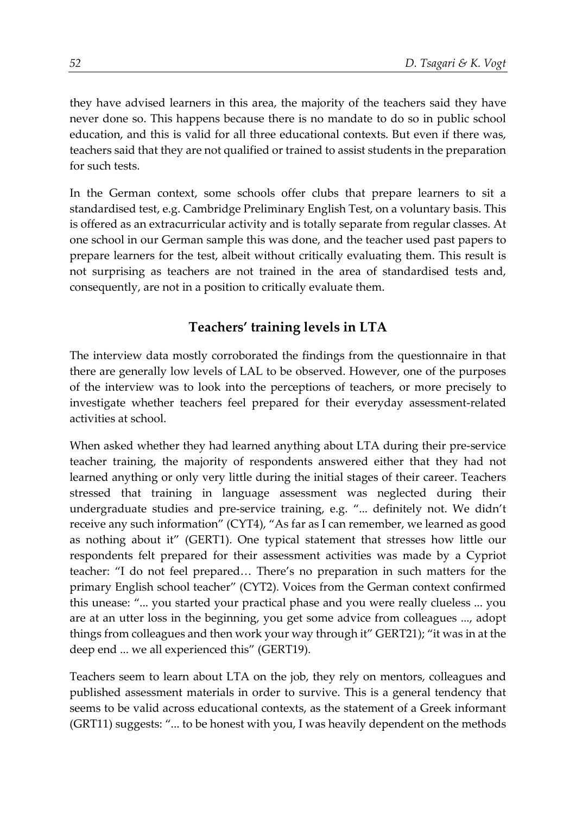they have advised learners in this area, the majority of the teachers said they have never done so. This happens because there is no mandate to do so in public school education, and this is valid for all three educational contexts. But even if there was, teachers said that they are not qualified or trained to assist students in the preparation for such tests.

In the German context, some schools offer clubs that prepare learners to sit a standardised test, e.g. Cambridge Preliminary English Test, on a voluntary basis. This is offered as an extracurricular activity and is totally separate from regular classes. At one school in our German sample this was done, and the teacher used past papers to prepare learners for the test, albeit without critically evaluating them. This result is not surprising as teachers are not trained in the area of standardised tests and, consequently, are not in a position to critically evaluate them.

## **Teachers' training levels in LTA**

The interview data mostly corroborated the findings from the questionnaire in that there are generally low levels of LAL to be observed. However, one of the purposes of the interview was to look into the perceptions of teachers, or more precisely to investigate whether teachers feel prepared for their everyday assessment-related activities at school.

When asked whether they had learned anything about LTA during their pre-service teacher training, the majority of respondents answered either that they had not learned anything or only very little during the initial stages of their career. Teachers stressed that training in language assessment was neglected during their undergraduate studies and pre-service training, e.g. "... definitely not. We didn't receive any such information" (CYT4), "As far as I can remember, we learned as good as nothing about it" (GERT1). One typical statement that stresses how little our respondents felt prepared for their assessment activities was made by a Cypriot teacher: "I do not feel prepared… There's no preparation in such matters for the primary English school teacher" (CYT2). Voices from the German context confirmed this unease: "... you started your practical phase and you were really clueless ... you are at an utter loss in the beginning, you get some advice from colleagues ..., adopt things from colleagues and then work your way through it" GERT21); "it was in at the deep end ... we all experienced this" (GERT19).

Teachers seem to learn about LTA on the job, they rely on mentors, colleagues and published assessment materials in order to survive. This is a general tendency that seems to be valid across educational contexts, as the statement of a Greek informant (GRT11) suggests: "... to be honest with you, I was heavily dependent on the methods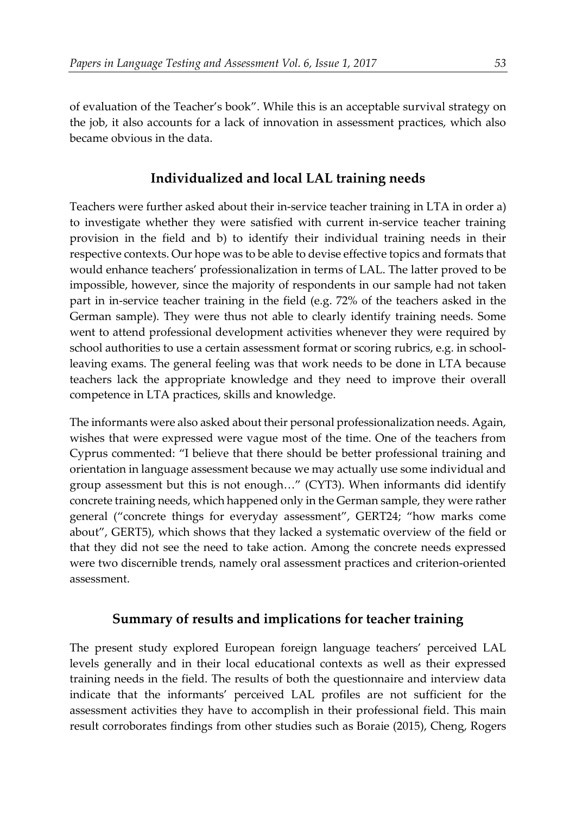of evaluation of the Teacher's book". While this is an acceptable survival strategy on the job, it also accounts for a lack of innovation in assessment practices, which also became obvious in the data.

## **Individualized and local LAL training needs**

Teachers were further asked about their in-service teacher training in LTA in order a) to investigate whether they were satisfied with current in-service teacher training provision in the field and b) to identify their individual training needs in their respective contexts. Our hope was to be able to devise effective topics and formats that would enhance teachers' professionalization in terms of LAL. The latter proved to be impossible, however, since the majority of respondents in our sample had not taken part in in-service teacher training in the field (e.g. 72% of the teachers asked in the German sample). They were thus not able to clearly identify training needs. Some went to attend professional development activities whenever they were required by school authorities to use a certain assessment format or scoring rubrics, e.g. in schoolleaving exams. The general feeling was that work needs to be done in LTA because teachers lack the appropriate knowledge and they need to improve their overall competence in LTA practices, skills and knowledge.

The informants were also asked about their personal professionalization needs. Again, wishes that were expressed were vague most of the time. One of the teachers from Cyprus commented: "I believe that there should be better professional training and orientation in language assessment because we may actually use some individual and group assessment but this is not enough…" (CYT3). When informants did identify concrete training needs, which happened only in the German sample, they were rather general ("concrete things for everyday assessment", GERT24; "how marks come about", GERT5), which shows that they lacked a systematic overview of the field or that they did not see the need to take action. Among the concrete needs expressed were two discernible trends, namely oral assessment practices and criterion-oriented assessment.

## **Summary of results and implications for teacher training**

The present study explored European foreign language teachers' perceived LAL levels generally and in their local educational contexts as well as their expressed training needs in the field. The results of both the questionnaire and interview data indicate that the informants' perceived LAL profiles are not sufficient for the assessment activities they have to accomplish in their professional field. This main result corroborates findings from other studies such as Boraie (2015), Cheng, Rogers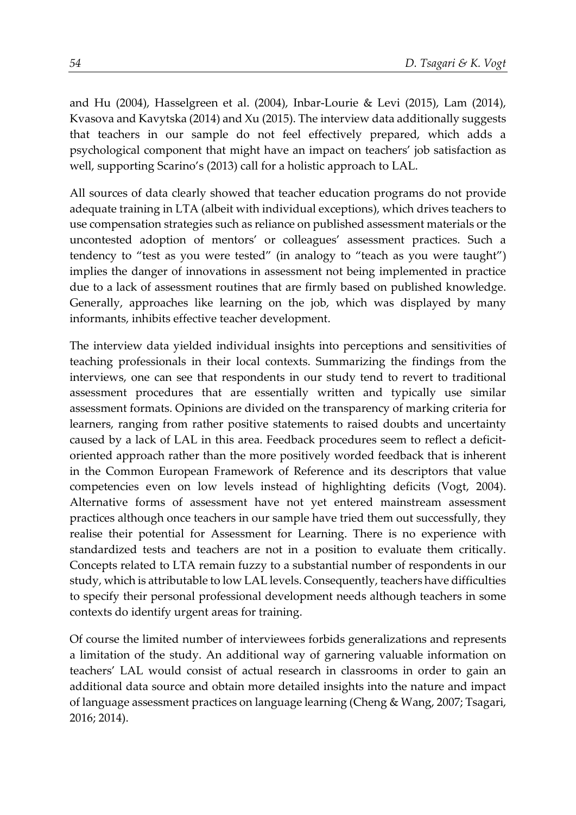and Hu (2004), Hasselgreen et al. (2004), Inbar-Lourie & Levi (2015), Lam (2014), Kvasova and Kavytska (2014) and Xu (2015). The interview data additionally suggests that teachers in our sample do not feel effectively prepared, which adds a psychological component that might have an impact on teachers' job satisfaction as well, supporting Scarino's (2013) call for a holistic approach to LAL.

All sources of data clearly showed that teacher education programs do not provide adequate training in LTA (albeit with individual exceptions), which drives teachers to use compensation strategies such as reliance on published assessment materials or the uncontested adoption of mentors' or colleagues' assessment practices. Such a tendency to "test as you were tested" (in analogy to "teach as you were taught") implies the danger of innovations in assessment not being implemented in practice due to a lack of assessment routines that are firmly based on published knowledge. Generally, approaches like learning on the job, which was displayed by many informants, inhibits effective teacher development.

The interview data yielded individual insights into perceptions and sensitivities of teaching professionals in their local contexts. Summarizing the findings from the interviews, one can see that respondents in our study tend to revert to traditional assessment procedures that are essentially written and typically use similar assessment formats. Opinions are divided on the transparency of marking criteria for learners, ranging from rather positive statements to raised doubts and uncertainty caused by a lack of LAL in this area. Feedback procedures seem to reflect a deficitoriented approach rather than the more positively worded feedback that is inherent in the Common European Framework of Reference and its descriptors that value competencies even on low levels instead of highlighting deficits (Vogt, 2004). Alternative forms of assessment have not yet entered mainstream assessment practices although once teachers in our sample have tried them out successfully, they realise their potential for Assessment for Learning. There is no experience with standardized tests and teachers are not in a position to evaluate them critically. Concepts related to LTA remain fuzzy to a substantial number of respondents in our study, which is attributable to low LAL levels. Consequently, teachers have difficulties to specify their personal professional development needs although teachers in some contexts do identify urgent areas for training.

Of course the limited number of interviewees forbids generalizations and represents a limitation of the study. An additional way of garnering valuable information on teachers' LAL would consist of actual research in classrooms in order to gain an additional data source and obtain more detailed insights into the nature and impact of language assessment practices on language learning (Cheng & Wang, 2007; Tsagari, 2016; 2014).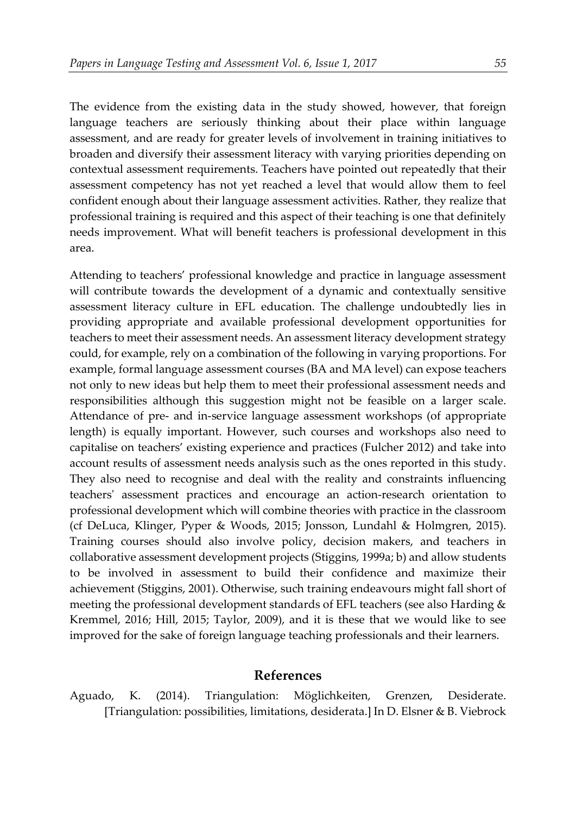The evidence from the existing data in the study showed, however, that foreign language teachers are seriously thinking about their place within language assessment, and are ready for greater levels of involvement in training initiatives to broaden and diversify their assessment literacy with varying priorities depending on contextual assessment requirements. Teachers have pointed out repeatedly that their assessment competency has not yet reached a level that would allow them to feel confident enough about their language assessment activities. Rather, they realize that professional training is required and this aspect of their teaching is one that definitely needs improvement. What will benefit teachers is professional development in this area.

Attending to teachers' professional knowledge and practice in language assessment will contribute towards the development of a dynamic and contextually sensitive assessment literacy culture in EFL education. The challenge undoubtedly lies in providing appropriate and available professional development opportunities for teachers to meet their assessment needs. An assessment literacy development strategy could, for example, rely on a combination of the following in varying proportions. For example, formal language assessment courses (BA and MA level) can expose teachers not only to new ideas but help them to meet their professional assessment needs and responsibilities although this suggestion might not be feasible on a larger scale. Attendance of pre- and in-service language assessment workshops (of appropriate length) is equally important. However, such courses and workshops also need to capitalise on teachers' existing experience and practices (Fulcher 2012) and take into account results of assessment needs analysis such as the ones reported in this study. They also need to recognise and deal with the reality and constraints influencing teachers' assessment practices and encourage an action-research orientation to professional development which will combine theories with practice in the classroom (cf DeLuca, Klinger, Pyper & Woods, 2015; Jonsson, Lundahl & Holmgren, 2015). Training courses should also involve policy, decision makers, and teachers in collaborative assessment development projects (Stiggins, 1999a; b) and allow students to be involved in assessment to build their confidence and maximize their achievement (Stiggins, 2001). Otherwise, such training endeavours might fall short of meeting the professional development standards of EFL teachers (see also Harding & Kremmel, 2016; Hill, 2015; Taylor, 2009), and it is these that we would like to see improved for the sake of foreign language teaching professionals and their learners.

#### **References**

Aguado, K. (2014). Triangulation: Möglichkeiten, Grenzen, Desiderate. [Triangulation: possibilities, limitations, desiderata.] In D. Elsner & B. Viebrock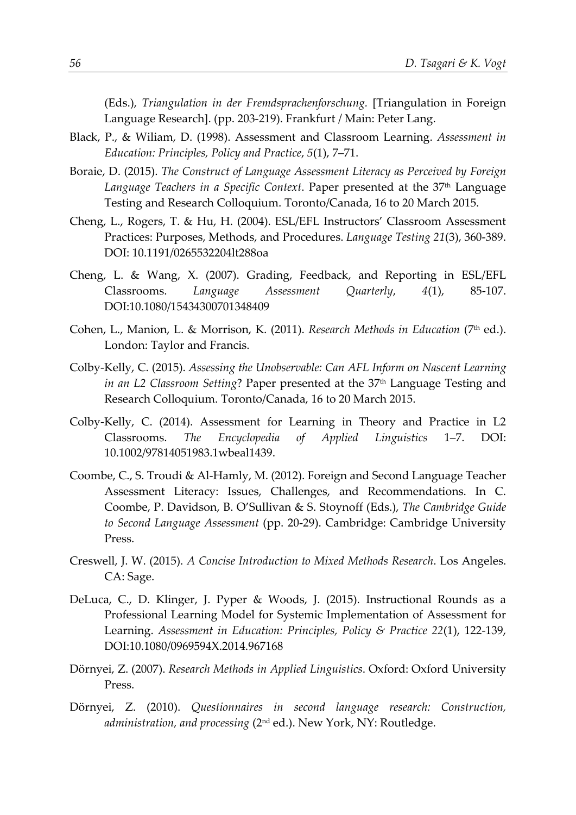(Eds.), *Triangulation in der Fremdsprachenforschung.* [Triangulation in Foreign Language Research]. (pp. 203-219). Frankfurt / Main: Peter Lang.

- Black, P., & Wiliam, D. (1998). Assessment and Classroom Learning. *Assessment in Education: Principles, Policy and Practice*, *5*(1), 7–71.
- Boraie, D. (2015). *The Construct of Language Assessment Literacy as Perceived by Foreign*  Language Teachers in a Specific Context. Paper presented at the 37<sup>th</sup> Language Testing and Research Colloquium. Toronto/Canada, 16 to 20 March 2015.
- Cheng, L., Rogers, T. & Hu, H. (2004). ESL/EFL Instructors' Classroom Assessment Practices: Purposes, Methods, and Procedures. *Language Testing 21*(3), 360-389. DOI: 10.1191/0265532204lt288oa
- Cheng, L. & Wang, X. (2007). Grading, Feedback, and Reporting in ESL/EFL Classrooms. *Language Assessment Quarterly*, *4*(1), 85-107. DOI:10.1080/15434300701348409
- Cohen, L., Manion, L. & Morrison, K. (2011). *Research Methods in Education* (7<sup>th</sup> ed.). London: Taylor and Francis.
- Colby-Kelly, C. (2015). *Assessing the Unobservable: Can AFL Inform on Nascent Learning in an L2 Classroom Setting*? Paper presented at the 37<sup>th</sup> Language Testing and Research Colloquium. Toronto/Canada, 16 to 20 March 2015.
- Colby-Kelly, C. (2014). Assessment for Learning in Theory and Practice in L2 Classrooms. *The Encyclopedia of Applied Linguistics* 1–7. DOI: 10.1002/97814051983.1wbeal1439.
- Coombe, C., S. Troudi & Al-Hamly, M. (2012). Foreign and Second Language Teacher Assessment Literacy: Issues, Challenges, and Recommendations. In C. Coombe, P. Davidson, B. O'Sullivan & S. Stoynoff (Eds.), *The Cambridge Guide to Second Language Assessment* (pp. 20-29). Cambridge: Cambridge University Press.
- Creswell, J. W. (2015). *A Concise Introduction to Mixed Methods Research*. Los Angeles. CA: Sage.
- DeLuca, C., D. Klinger, J. Pyper & Woods, J. (2015). Instructional Rounds as a Professional Learning Model for Systemic Implementation of Assessment for Learning. *Assessment in Education: Principles, Policy & Practice 22*(1), 122-139, DOI:10.1080/0969594X.2014.967168
- Dörnyei, Z. (2007). *Research Methods in Applied Linguistics*. Oxford: Oxford University Press.
- Dörnyei, Z. (2010). *Questionnaires in second language research: Construction, administration, and processing* (2nd ed.). New York, NY: Routledge.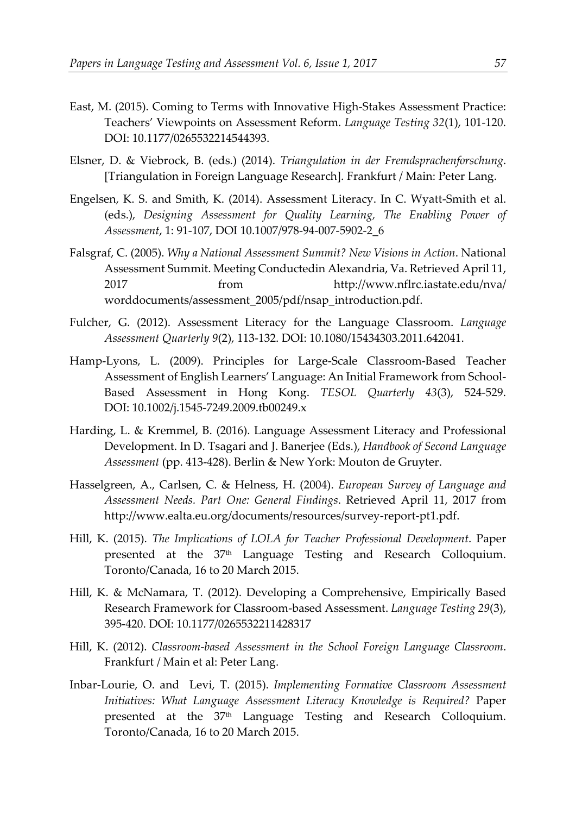- East, M. (2015). Coming to Terms with Innovative High-Stakes Assessment Practice: Teachers' Viewpoints on Assessment Reform. *Language Testing 32*(1), 101-120. DOI: 10.1177/0265532214544393.
- Elsner, D. & Viebrock, B. (eds.) (2014). *Triangulation in der Fremdsprachenforschung*. [Triangulation in Foreign Language Research]. Frankfurt / Main: Peter Lang.
- Engelsen, K. S. and Smith, K. (2014). Assessment Literacy. In C. Wyatt-Smith et al. (eds.), *Designing Assessment for Quality Learning, The Enabling Power of Assessment*, 1: 91-107, DOI 10.1007/978-94-007-5902-2\_6
- Falsgraf, C. (2005). *Why a National Assessment Summit? New Visions in Action*. National Assessment Summit. Meeting Conductedin Alexandria, Va. Retrieved April 11, 2017 from http://www.nflrc.iastate.edu/nva/ worddocuments/assessment\_2005/pdf/nsap\_introduction.pdf.
- Fulcher, G. (2012). Assessment Literacy for the Language Classroom. *Language Assessment Quarterly 9*(2), 113-132. DOI: 10.1080/15434303.2011.642041.
- Hamp-Lyons, L. (2009). Principles for Large-Scale Classroom-Based Teacher Assessment of English Learners' Language: An Initial Framework from School-Based Assessment in Hong Kong. *TESOL Quarterly 43*(3), 524-529. DOI: 10.1002/j.1545-7249.2009.tb00249.x
- Harding, L. & Kremmel, B. (2016). Language Assessment Literacy and Professional Development. In D. Tsagari and J. Banerjee (Eds.), *Handbook of Second Language Assessment* (pp. 413-428). Berlin & New York: Mouton de Gruyter.
- Hasselgreen, A., Carlsen, C. & Helness, H. (2004). *European Survey of Language and Assessment Needs. Part One: General Findings*. Retrieved April 11, 2017 from http://www.ealta.eu.org/documents/resources/survey-report-pt1.pdf.
- Hill, K. (2015). *The Implications of LOLA for Teacher Professional Development*. Paper presented at the 37<sup>th</sup> Language Testing and Research Colloquium. Toronto/Canada, 16 to 20 March 2015.
- Hill, K. & McNamara, T. (2012). Developing a Comprehensive, Empirically Based Research Framework for Classroom-based Assessment. *Language Testing 29*(3), 395-420. DOI: 10.1177/0265532211428317
- Hill, K. (2012). *Classroom-based Assessment in the School Foreign Language Classroom*. Frankfurt / Main et al: Peter Lang.
- Inbar-Lourie, O. and Levi, T. (2015). *Implementing Formative Classroom Assessment Initiatives: What Language Assessment Literacy Knowledge is Required?* Paper presented at the 37th Language Testing and Research Colloquium. Toronto/Canada, 16 to 20 March 2015.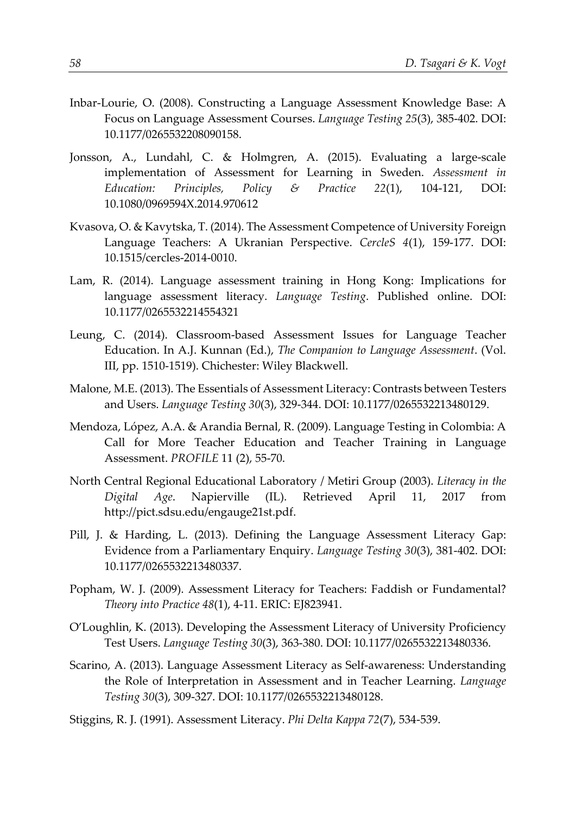- Inbar-Lourie, O. (2008). Constructing a Language Assessment Knowledge Base: A Focus on Language Assessment Courses. *Language Testing 25*(3), 385-402. DOI: 10.1177/0265532208090158.
- Jonsson, A., Lundahl, C. & Holmgren, A. (2015). Evaluating a large-scale implementation of Assessment for Learning in Sweden. *Assessment in Education: Principles, Policy & Practice 22*(1), 104-121, DOI: 10.1080/0969594X.2014.970612
- Kvasova, O. & Kavytska, T. (2014). The Assessment Competence of University Foreign Language Teachers: A Ukranian Perspective. *CercleS 4*(1), 159-177. DOI: 10.1515/cercles-2014-0010.
- Lam, R. (2014). Language assessment training in Hong Kong: Implications for language assessment literacy. *Language Testing*. Published online. DOI: 10.1177/0265532214554321
- Leung, C. (2014). Classroom-based Assessment Issues for Language Teacher Education. In A.J. Kunnan (Ed.), *The Companion to Language Assessment*. (Vol. III, pp. 1510-1519). Chichester: Wiley Blackwell.
- Malone, M.E. (2013). The Essentials of Assessment Literacy: Contrasts between Testers and Users. *Language Testing 30*(3), 329-344. DOI: 10.1177/0265532213480129.
- Mendoza, López, A.A. & Arandia Bernal, R. (2009). Language Testing in Colombia: A Call for More Teacher Education and Teacher Training in Language Assessment. *PROFILE* 11 (2), 55-70.
- North Central Regional Educational Laboratory / Metiri Group (2003). *Literacy in the Digital Age*. Napierville (IL). Retrieved April 11, 2017 from http://pict.sdsu.edu/engauge21st.pdf.
- Pill, J. & Harding, L. (2013). Defining the Language Assessment Literacy Gap: Evidence from a Parliamentary Enquiry. *Language Testing 30*(3), 381-402. DOI: 10.1177/0265532213480337.
- Popham, W. J. (2009). Assessment Literacy for Teachers: Faddish or Fundamental? *Theory into Practice 48*(1), 4-11. ERIC: EJ823941.
- O'Loughlin, K. (2013). Developing the Assessment Literacy of University Proficiency Test Users. *Language Testing 30*(3), 363-380. DOI: 10.1177/0265532213480336.
- Scarino, A. (2013). Language Assessment Literacy as Self-awareness: Understanding the Role of Interpretation in Assessment and in Teacher Learning. *Language Testing 30*(3), 309-327. DOI: 10.1177/0265532213480128.

Stiggins, R. J. (1991). Assessment Literacy. *Phi Delta Kappa 72*(7), 534-539.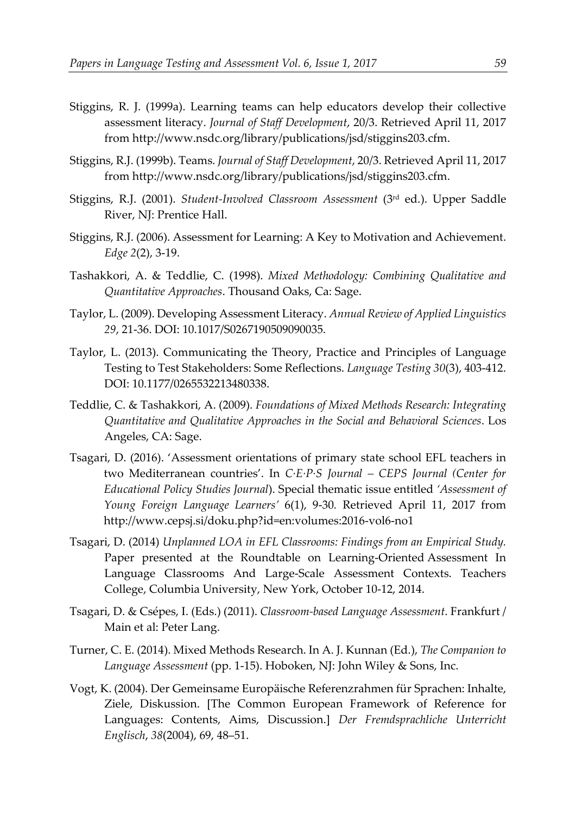- Stiggins, R. J. (1999a). Learning teams can help educators develop their collective assessment literacy. *Journal of Staff Development*, 20/3. Retrieved April 11, 2017 from http://www.nsdc.org/library/publications/jsd/stiggins203.cfm.
- Stiggins, R.J. (1999b). Teams. *Journal of Staff Development*, 20/3. Retrieved April 11, 2017 from http://www.nsdc.org/library/publications/jsd/stiggins203.cfm.
- Stiggins, R.J. (2001). *Student-Involved Classroom Assessment* (3rd ed.). Upper Saddle River, NJ: Prentice Hall.
- Stiggins, R.J. (2006). Assessment for Learning: A Key to Motivation and Achievement. *Edge 2*(2), 3-19.
- Tashakkori, A. & Teddlie, C. (1998). *Mixed Methodology: Combining Qualitative and Quantitative Approaches*. Thousand Oaks, Ca: Sage.
- Taylor, L. (2009). Developing Assessment Literacy. *Annual Review of Applied Linguistics 29*, 21-36. DOI: 10.1017/S0267190509090035.
- Taylor, L. (2013). Communicating the Theory, Practice and Principles of Language Testing to Test Stakeholders: Some Reflections. *Language Testing 30*(3), 403-412. DOI: 10.1177/0265532213480338.
- Teddlie, C. & Tashakkori, A. (2009). *Foundations of Mixed Methods Research: Integrating Quantitative and Qualitative Approaches in the Social and Behavioral Sciences*. Los Angeles, CA: Sage.
- Tsagari, D. (2016). 'Assessment orientations of primary state school EFL teachers in two Mediterranean countries'. In *C·E·P·S Journal – CEPS Journal (Center for Educational Policy Studies Journal*). Special thematic issue entitled *'Assessment of Young Foreign Language Learners'* 6(1), 9-30*.* Retrieved April 11, 2017 from http://www.cepsj.si/doku.php?id=en:volumes:2016-vol6-no1
- Tsagari, D. (2014) *Unplanned LOA in EFL Classrooms: Findings from an Empirical Study.* Paper presented at the Roundtable on Learning-Oriented Assessment In Language Classrooms And Large-Scale Assessment Contexts. Teachers College, Columbia University, New York, October 10-12, 2014.
- Tsagari, D. & Csépes, I. (Eds.) (2011). *Classroom-based Language Assessment*. Frankfurt / Main et al: Peter Lang.
- Turner, C. E. (2014). Mixed Methods Research. In A. J. Kunnan (Ed.), *The Companion to Language Assessment* (pp. 1-15). Hoboken, NJ: John Wiley & Sons, Inc.
- Vogt, K. (2004). Der Gemeinsame Europäische Referenzrahmen für Sprachen: Inhalte, Ziele, Diskussion. [The Common European Framework of Reference for Languages: Contents, Aims, Discussion.] *Der Fremdsprachliche Unterricht Englisch*, *38*(2004), 69, 48–51.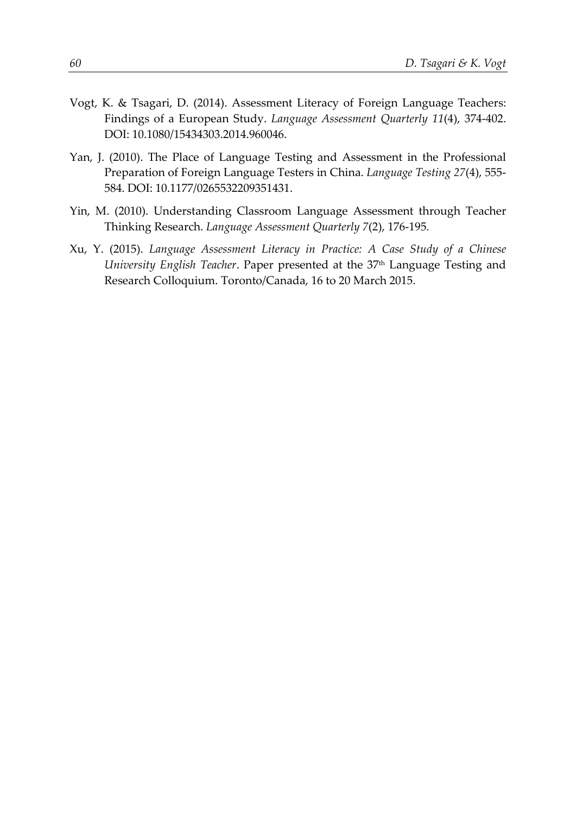- Vogt, K. & Tsagari, D. (2014). Assessment Literacy of Foreign Language Teachers: Findings of a European Study. *Language Assessment Quarterly 11*(4), 374-402. DOI: 10.1080/15434303.2014.960046.
- Yan, J. (2010). The Place of Language Testing and Assessment in the Professional Preparation of Foreign Language Testers in China. *Language Testing 27*(4), 555- 584. DOI: 10.1177/0265532209351431.
- Yin, M. (2010). Understanding Classroom Language Assessment through Teacher Thinking Research. *Language Assessment Quarterly 7*(2), 176-195.
- Xu, Y. (2015). *Language Assessment Literacy in Practice: A Case Study of a Chinese University English Teacher*. Paper presented at the 37<sup>th</sup> Language Testing and Research Colloquium. Toronto/Canada, 16 to 20 March 2015.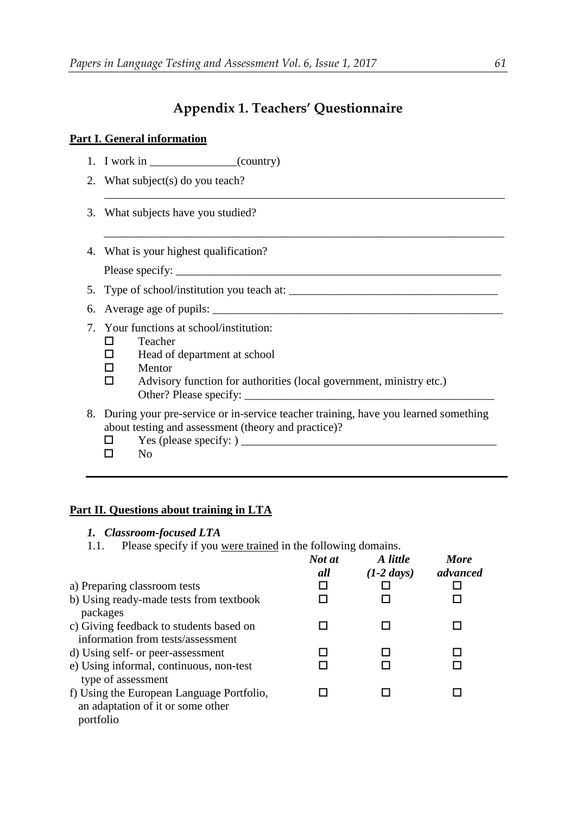## **Appendix 1. Teachers' Questionnaire**

\_\_\_\_\_\_\_\_\_\_\_\_\_\_\_\_\_\_\_\_\_\_\_\_\_\_\_\_\_\_\_\_\_\_\_\_\_\_\_\_\_\_\_\_\_\_\_\_\_\_\_\_\_\_\_\_\_\_\_\_\_\_\_\_\_\_\_\_\_

\_\_\_\_\_\_\_\_\_\_\_\_\_\_\_\_\_\_\_\_\_\_\_\_\_\_\_\_\_\_\_\_\_\_\_\_\_\_\_\_\_\_\_\_\_\_\_\_\_\_\_\_\_\_\_\_\_\_\_\_\_\_\_\_\_\_\_\_\_

#### **Part I. General information**

- 1. I work in  $($  (country)
- 2. What subject(s) do you teach?
- 3. What subjects have you studied?
- 4. What is your highest qualification?

Please specify: \_\_\_\_\_\_\_\_\_\_\_\_\_\_\_\_\_\_\_\_\_\_\_\_\_\_\_\_\_\_\_\_\_\_\_\_\_\_\_\_\_\_\_\_\_\_\_\_\_\_\_\_\_\_\_\_

- 5. Type of school/institution you teach at:
- 6. Average age of pupils: \_\_\_\_\_\_\_\_\_\_\_\_\_\_\_\_\_\_\_\_\_\_\_\_\_\_\_\_\_\_\_\_\_\_\_\_\_\_\_\_\_\_\_\_\_\_\_\_\_\_
- 7. Your functions at school/institution:
	- □ Teacher
	- $\Box$  Head of department at school
	- $\Pi$  Mentor
	- $\Box$  Advisory function for authorities (local government, ministry etc.) Other? Please specify: \_\_\_\_\_\_\_\_\_\_\_\_\_\_\_\_\_\_\_\_\_\_\_\_\_\_\_\_\_\_\_\_\_\_\_\_\_\_\_\_\_\_\_
- 8. During your pre-service or in-service teacher training, have you learned something about testing and assessment (theory and practice)?
	- Yes (please specify: ) \_\_\_\_\_\_\_\_\_\_\_\_\_\_\_\_\_\_\_\_\_\_\_\_\_\_\_\_\_\_\_\_\_\_\_\_\_\_\_\_\_\_\_\_
	- $\Box$  No

#### **Part II. Questions about training in LTA**

- *1. Classroom-focused LTA*
- 1.1. Please specify if you were trained in the following domains.

|                                                                                             | Not at<br>all | A little<br>$(1-2 \; days)$ | <b>More</b><br>advanced |
|---------------------------------------------------------------------------------------------|---------------|-----------------------------|-------------------------|
| a) Preparing classroom tests                                                                |               |                             |                         |
| b) Using ready-made tests from textbook<br>packages                                         |               |                             |                         |
| c) Giving feedback to students based on<br>information from tests/assessment                |               |                             |                         |
| d) Using self- or peer-assessment                                                           |               |                             |                         |
| e) Using informal, continuous, non-test<br>type of assessment                               |               |                             |                         |
| f) Using the European Language Portfolio,<br>an adaptation of it or some other<br>portfolio |               |                             |                         |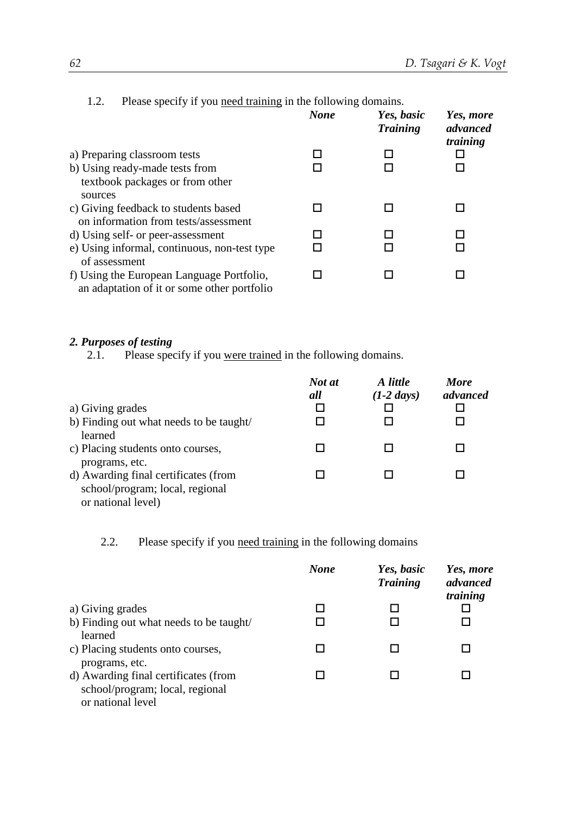| Please specify if you need training in the following domains.<br>1.2.                              |             |                               |                                   |
|----------------------------------------------------------------------------------------------------|-------------|-------------------------------|-----------------------------------|
|                                                                                                    | <b>None</b> | Yes, basic<br><b>Training</b> | Yes, more<br>advanced<br>training |
| a) Preparing classroom tests                                                                       |             |                               |                                   |
| b) Using ready-made tests from<br>textbook packages or from other<br>sources                       |             |                               |                                   |
| c) Giving feedback to students based<br>on information from tests/assessment                       |             |                               |                                   |
| d) Using self- or peer-assessment<br>e) Using informal, continuous, non-test type<br>of assessment |             |                               |                                   |
| f) Using the European Language Portfolio,<br>an adaptation of it or some other portfolio           |             |                               |                                   |

# *2. Purposes of testing*

Please specify if you were trained in the following domains.

|                                         | Not at<br>all | A little<br>$(1-2 \; days)$ | <b>More</b><br>advanced |
|-----------------------------------------|---------------|-----------------------------|-------------------------|
| a) Giving grades                        |               |                             |                         |
| b) Finding out what needs to be taught/ |               |                             |                         |
| learned                                 |               |                             |                         |
| c) Placing students onto courses,       |               |                             |                         |
| programs, etc.                          |               |                             |                         |
| d) Awarding final certificates (from    |               |                             |                         |
| school/program; local, regional         |               |                             |                         |
| or national level)                      |               |                             |                         |

2.2. Please specify if you need training in the following domains

|                                         | <b>None</b> | Yes, basic<br><b>Training</b> | Yes, more<br>advanced<br>training |
|-----------------------------------------|-------------|-------------------------------|-----------------------------------|
| a) Giving grades                        |             |                               |                                   |
| b) Finding out what needs to be taught/ |             |                               |                                   |
| learned                                 |             |                               |                                   |
| c) Placing students onto courses,       |             |                               |                                   |
| programs, etc.                          |             |                               |                                   |
| d) Awarding final certificates (from    |             |                               |                                   |
| school/program; local, regional         |             |                               |                                   |
| or national level                       |             |                               |                                   |